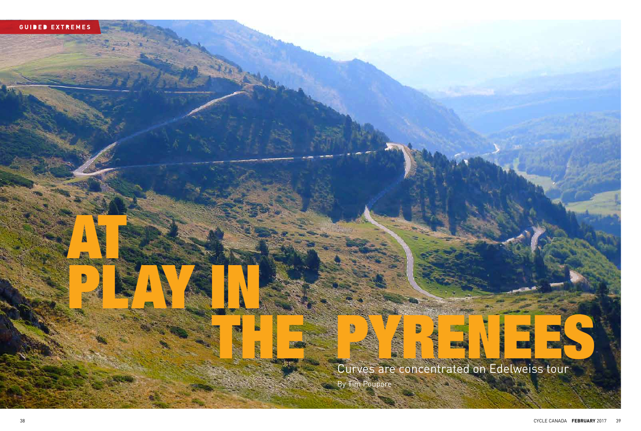

AT S

PLAY AND

Curves are concentrated on Edelweiss tour By Tim Poupore

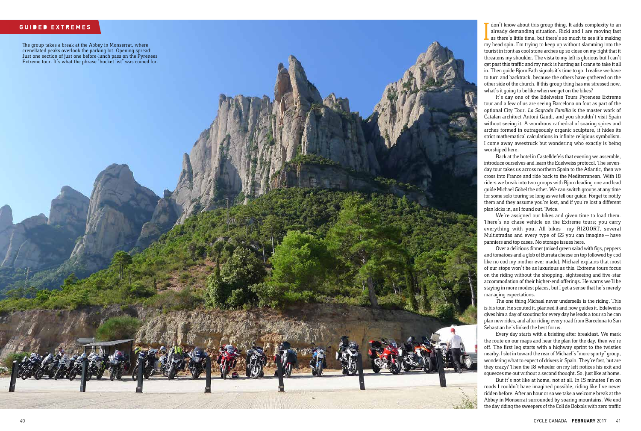## **GUIDED EXTREMES**

The group takes a break at the Abbey in Monserrat, where crenellated peaks overlook the parking lot. Opening spread: Just one section of just one before-lunch pass on the Pyrenees Extreme tour. It's what the phrase "bucket list" was coined for.

don't know about this group thing. It adds complexity to an already demanding situation. Ricki and I are moving fast as there's little time, but there's so much to see it's making my head spin. I'm trying to keep up withou don't know about this group thing. It adds complexity to an already demanding situation. Ricki and I are moving fast as there's little time, but there's so much to see it's making tourist in front as cool stone arches up so close on my right that it threatens my shoulder. The vista to my left is glorious but I can't get past this traffic and my neck is hurting as I crane to take it all in. Then quide Bjorn Fath signals it's time to go. I realize we have to turn and backtrack, because the others have gathered on the other side of the church. If this group thing has me stressed now, what's it going to be like when we get on the bikes?

It's day one of the Edelweiss Tours Pyrenees Extreme tour and a few of us are seeing Barcelona on foot as part of the optional City Tour. *La Sagrada Familia* is the master work of Catalan architect Antoni Gaudi, and you shouldn't visit Spain without seeing it. A wondrous cathedral of soaring spires and arches formed in outrageously organic sculpture, it hides its strict mathematical calculations in infinite religious symbolism. I come away awestruck but wondering who exactly is being worshiped here. Back at the hotel in Castelldefels that evening we assemble,

introduce ourselves and learn the Edelweiss protocol. The sevenday tour takes us across northern Spain to the Atlantic, then we cross into France and ride back to the Mediterranean. With 18 riders we break into two groups with Bjorn leading one and lead guide Michael Göbel the other. We can switch groups at any time for some solo touring so long as we tell our guide. Forget to notify them and they assume you're lost, and if you're lost a different plan kicks in, as I found out. Twice. We're assigned our bikes and given time to load them.

There's no chase vehicle on the Extreme tours; you carry everything with you. All bikes — my R1200RT, several Multistradas and every type of GS you can imagine —have panniers and top cases. No storage issues here. Over a delicious dinner (mixed green salad with figs, peppers

and tomatoes and a glob of Burrata cheese on top followed by cod like no cod my mother ever made), Michael explains that most of our stops won't be as luxurious as this. Extreme tours focus on the riding without the shopping, sightseeing and five-star accommodation of their higher-end offerings. He warns we'll be staying in more modest places, but I get a sense that he's merely managing expectations. The one thing Michael never undersells is the riding. This

is his tour. He scouted it, planned it and now guides it. Edelweiss gives him a day of scouting for every day he leads a tour so he can plan new rides, and after riding every road from Barcelona to San Sebastián he's linked the best for us.

Every day starts with a briefing after breakfast. We mark But it's not like at home, not at all. In 15 minutes I'm on

the route on our maps and hear the plan for the day, then we're off. The first leg starts with a highway sprint to the twisties nearby. I slot in toward the rear of Michael's "more sporty" group, wondering what to expect of drivers in Spain. They're fast, but are they crazy? Then the 18-wheeler on my left notices his exit and squeezes me out without a second thought. So, just like at home. roads I couldn't have imagined possible, riding like I've never ridden before. After an hour or so we take a welcome break at the Abbey in Monserrat surrounded by soaring mountains. We end the day riding the sweepers of the Coll de Boixols with zero traffic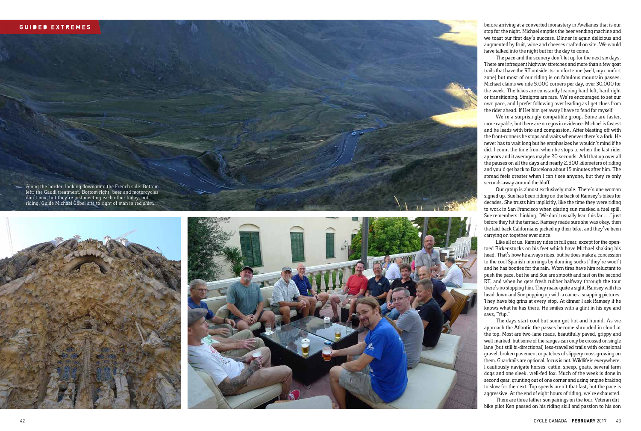## **GUIDED EXTREMES**

Along the border, looking down onto the French side. Bottom left: the Gaudi treatment. Bottom right: beer and motorcycles don't mix, but they're just meeting each other today, not riding. Guide Michael Göbel sits to right of man in red shirt.





before arriving at a converted monastery in Avellanes that is our stop for the night. Michael empties the beer vending machine and we toast our first day's success. Dinner is again delicious and augmented by fruit, wine and cheeses crafted on site. We would have talked into the night but for the day to come.

The pace and the scenery don't let up for the next six days. There are infrequent highway stretches and more than a few goat trails that have the RT outside its comfort zone (well, my comfort zone) but most of our riding is on fabulous mountain passes. Michael claims we ride 5,000 corners per day, over 30,000 for the week. The bikes are constantly leaning hard left, hard right or transitioning. Straights are rare. We're encouraged to set our own pace, and I prefer following over leading as I get clues from the rider ahead. If I let him get away I have to fend for myself.

We're a surprisingly compatible group. Some are faster, more capable, but there are no egos in evidence. Michael is fastest and he leads with brio and compassion. After blasting off with the front-runners he stops and waits whenever there's a fork. He never has to wait long but he emphasizes he wouldn't mind if he did. I count the time from when he stops to when the last rider appears and it averages maybe 20 seconds. Add that up over all the pauses on all the days and nearly 2,500 kilometers of riding and you'd get back to Barcelona about 15 minutes after him. The spread feels greater when I can't see anyone, but they're only seconds away around the bluff.

Our group is almost exclusively male. There's one woman signed up. Sue has been riding on the back of Ramsey's bikes for decades. She trusts him implicitly, like the time they were riding to work in San Francisco when glaring sun masked a fuel spill. Sue remembers thinking, "We don't usually lean this far . . ." just before they hit the tarmac. Ramsey made sure she was okay, then the laid-back Californians picked up their bike, and they've been carrying on together ever since. Like all of us, Ramsey rides in full gear, except for the open-

toed Birkenstocks on his feet which have Michael shaking his head. That's how he always rides, but he does make a concession to the cool Spanish mornings by donning socks ("they're wool") and he has booties for the rain. Worn tires have him reluctant to push the pace, but he and Sue are smooth and fast on the second RT, and when he gets fresh rubber halfway through the tour there's no stopping him. They make quite a sight, Ramsey with his head down and Sue popping up with a camera snapping pictures. They have big grins at every stop. At dinner I ask Ramsey if he knows what he has there. He smiles with a glint in his eye and says, "Yup." The days start cool but soon get hot and humid. As we

approach the Atlantic the passes become shrouded in cloud at the top. Most are two-lane roads, beautifully paved, grippy and well-marked, but some of the ranges can only be crossed on single lane (but still bi-directional) less-travelled trails with occasional gravel, broken pavement or patches of slippery moss growing on them. Guardrails are optional, focus is not. Wildlife is everywhere. I cautiously navigate horses, cattle, sheep, goats, several farm dogs and one sleek, well-fed fox. Much of the week is done in second gear, grunting out of one corner and using engine braking to slow for the next. Top speeds aren't that fast, but the pace is aggressive. At the end of eight hours of riding, we're exhausted. bike pilot Ken passed on his riding skill and passion to his son

There are three father-son pairings on the tour. Veteran dirt-